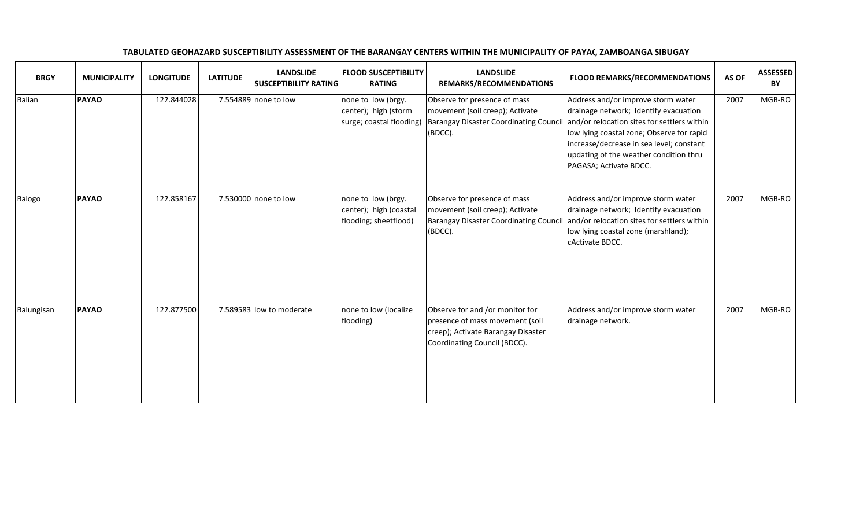| <b>BRGY</b>   | <b>MUNICIPALITY</b> | <b>LONGITUDE</b> | <b>LATITUDE</b> | <b>LANDSLIDE</b><br><b>SUSCEPTIBILITY RATING</b> | <b>FLOOD SUSCEPTIBILITY</b><br><b>RATING</b>                           | <b>LANDSLIDE</b><br>REMARKS/RECOMMENDATIONS                                                                                              | <b>FLOOD REMARKS/RECOMMENDATIONS</b>                                                                                                                                                                                                                                                    | AS OF | <b>ASSESSED</b><br>BY |
|---------------|---------------------|------------------|-----------------|--------------------------------------------------|------------------------------------------------------------------------|------------------------------------------------------------------------------------------------------------------------------------------|-----------------------------------------------------------------------------------------------------------------------------------------------------------------------------------------------------------------------------------------------------------------------------------------|-------|-----------------------|
| <b>Balian</b> | PAYAO               | 122.844028       |                 | 7.554889 none to low                             | none to low (brgy.<br>center); high (storm<br>surge; coastal flooding) | Observe for presence of mass<br>movement (soil creep); Activate<br>Barangay Disaster Coordinating Council<br>(BDCC).                     | Address and/or improve storm water<br>drainage network; Identify evacuation<br>and/or relocation sites for settlers within<br>low lying coastal zone; Observe for rapid<br>increase/decrease in sea level; constant<br>updating of the weather condition thru<br>PAGASA; Activate BDCC. | 2007  | MGB-RO                |
| Balogo        | PAYAO               | 122.858167       |                 | 7.530000 none to low                             | none to low (brgy.<br>center); high (coastal<br>flooding; sheetflood)  | Observe for presence of mass<br>movement (soil creep); Activate<br><b>Barangay Disaster Coordinating Council</b><br>(BDCC).              | Address and/or improve storm water<br>drainage network; Identify evacuation<br>and/or relocation sites for settlers within<br>low lying coastal zone (marshland);<br><b>cActivate BDCC.</b>                                                                                             | 2007  | MGB-RO                |
| Balungisan    | PAYAO               | 122.877500       |                 | 7.589583 low to moderate                         | none to low (localize<br>flooding)                                     | Observe for and /or monitor for<br>presence of mass movement (soil<br>creep); Activate Barangay Disaster<br>Coordinating Council (BDCC). | Address and/or improve storm water<br>drainage network.                                                                                                                                                                                                                                 | 2007  | MGB-RO                |

TABULATED GEOHAZARD SUSCEPTIBILITY ASSESSMENT OF THE BARANGAY CENTERS WITHIN THE MUNICIPALITY OF PAYAC, ZAMBOANGA SIBUGAY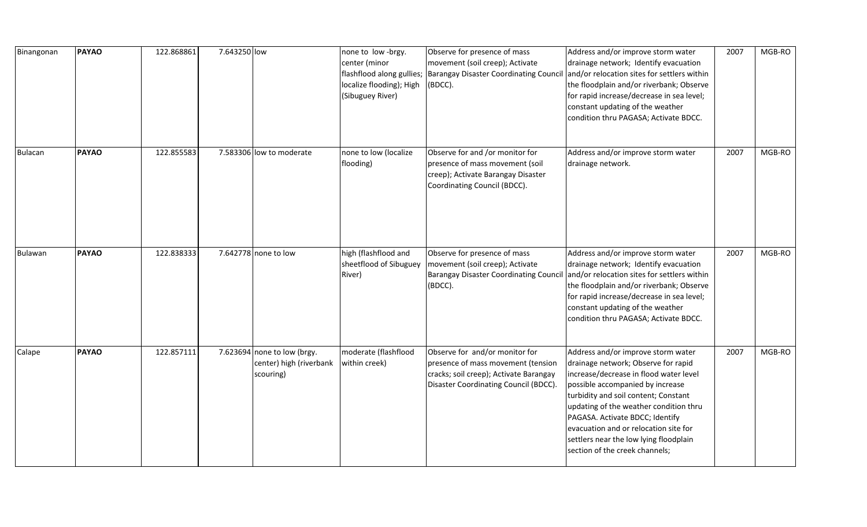| Binangonan     | <b>PAYAO</b> | 122.868861 | 7.643250 low |                                                                     | none to low -brgy.<br>center (minor<br>flashflood along gullies;<br>localize flooding); High<br>(Sibuguey River) | Observe for presence of mass<br>movement (soil creep); Activate<br><b>Barangay Disaster Coordinating Council</b><br>(BDCC).                             | Address and/or improve storm water<br>drainage network; Identify evacuation<br>and/or relocation sites for settlers within<br>the floodplain and/or riverbank; Observe<br>for rapid increase/decrease in sea level;<br>constant updating of the weather<br>condition thru PAGASA; Activate BDCC.                                                                                                  | 2007 | MGB-RO |
|----------------|--------------|------------|--------------|---------------------------------------------------------------------|------------------------------------------------------------------------------------------------------------------|---------------------------------------------------------------------------------------------------------------------------------------------------------|---------------------------------------------------------------------------------------------------------------------------------------------------------------------------------------------------------------------------------------------------------------------------------------------------------------------------------------------------------------------------------------------------|------|--------|
| <b>Bulacan</b> | <b>PAYAO</b> | 122.855583 |              | 7.583306 low to moderate                                            | none to low (localize<br>flooding)                                                                               | Observe for and /or monitor for<br>presence of mass movement (soil<br>creep); Activate Barangay Disaster<br>Coordinating Council (BDCC).                | Address and/or improve storm water<br>drainage network.                                                                                                                                                                                                                                                                                                                                           | 2007 | MGB-RO |
| Bulawan        | <b>PAYAO</b> | 122.838333 |              | 7.642778 none to low                                                | high (flashflood and<br>sheetflood of Sibuguey<br>River)                                                         | Observe for presence of mass<br>movement (soil creep); Activate<br>Barangay Disaster Coordinating Council<br>(BDCC).                                    | Address and/or improve storm water<br>drainage network; Identify evacuation<br>and/or relocation sites for settlers within<br>the floodplain and/or riverbank; Observe<br>for rapid increase/decrease in sea level;<br>constant updating of the weather<br>condition thru PAGASA; Activate BDCC.                                                                                                  | 2007 | MGB-RO |
| Calape         | <b>PAYAO</b> | 122.857111 |              | 7.623694 none to low (brgy.<br>center) high (riverbank<br>scouring) | moderate (flashflood<br>within creek)                                                                            | Observe for and/or monitor for<br>presence of mass movement (tension<br>cracks; soil creep); Activate Barangay<br>Disaster Coordinating Council (BDCC). | Address and/or improve storm water<br>drainage network; Observe for rapid<br>increase/decrease in flood water level<br>possible accompanied by increase<br>turbidity and soil content; Constant<br>updating of the weather condition thru<br>PAGASA. Activate BDCC; Identify<br>evacuation and or relocation site for<br>settlers near the low lying floodplain<br>section of the creek channels; | 2007 | MGB-RO |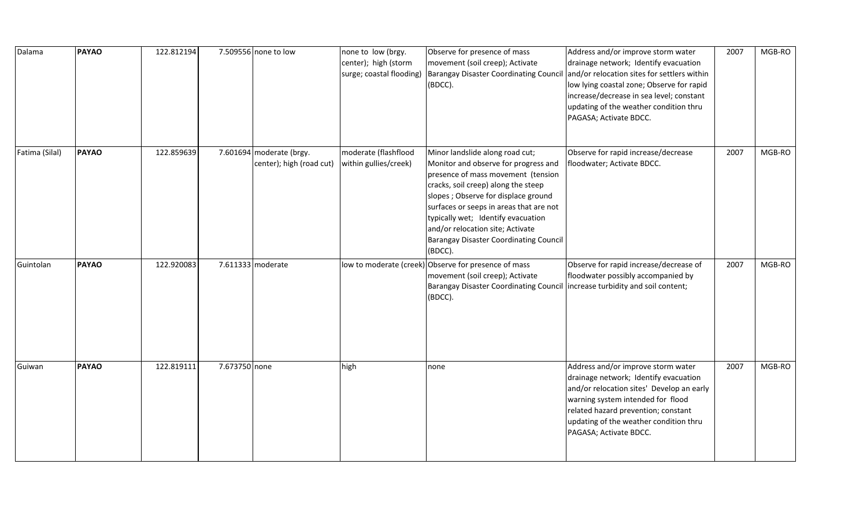| Dalama         | <b>PAYAO</b> | 122.812194 |               | 7.509556 none to low                                 | none to low (brgy.<br>center); high (storm<br>surge; coastal flooding) | Observe for presence of mass<br>movement (soil creep); Activate<br>Barangay Disaster Coordinating Council<br>(BDCC).                                                                                                                                                                                                                                                   | Address and/or improve storm water<br>drainage network; Identify evacuation<br>and/or relocation sites for settlers within<br>low lying coastal zone; Observe for rapid<br>increase/decrease in sea level; constant<br>updating of the weather condition thru<br>PAGASA; Activate BDCC. | 2007 | MGB-RO |
|----------------|--------------|------------|---------------|------------------------------------------------------|------------------------------------------------------------------------|------------------------------------------------------------------------------------------------------------------------------------------------------------------------------------------------------------------------------------------------------------------------------------------------------------------------------------------------------------------------|-----------------------------------------------------------------------------------------------------------------------------------------------------------------------------------------------------------------------------------------------------------------------------------------|------|--------|
| Fatima (Silal) | <b>PAYAO</b> | 122.859639 |               | 7.601694 moderate (brgy.<br>center); high (road cut) | moderate (flashflood<br>within gullies/creek)                          | Minor landslide along road cut;<br>Monitor and observe for progress and<br>presence of mass movement (tension<br>cracks, soil creep) along the steep<br>slopes ; Observe for displace ground<br>surfaces or seeps in areas that are not<br>typically wet; Identify evacuation<br>and/or relocation site; Activate<br>Barangay Disaster Coordinating Council<br>(BDCC). | Observe for rapid increase/decrease<br>floodwater; Activate BDCC.                                                                                                                                                                                                                       | 2007 | MGB-RO |
| Guintolan      | <b>PAYAO</b> | 122.920083 |               | 7.611333 moderate                                    |                                                                        | low to moderate (creek) Observe for presence of mass<br>movement (soil creep); Activate<br><b>Barangay Disaster Coordinating Council</b><br>(BDCC).                                                                                                                                                                                                                    | Observe for rapid increase/decrease of<br>floodwater possibly accompanied by<br>increase turbidity and soil content;                                                                                                                                                                    | 2007 | MGB-RO |
| Guiwan         | <b>PAYAO</b> | 122.819111 | 7.673750 none |                                                      | high                                                                   | none                                                                                                                                                                                                                                                                                                                                                                   | Address and/or improve storm water<br>drainage network; Identify evacuation<br>and/or relocation sites' Develop an early<br>warning system intended for flood<br>related hazard prevention; constant<br>updating of the weather condition thru<br>PAGASA; Activate BDCC.                | 2007 | MGB-RO |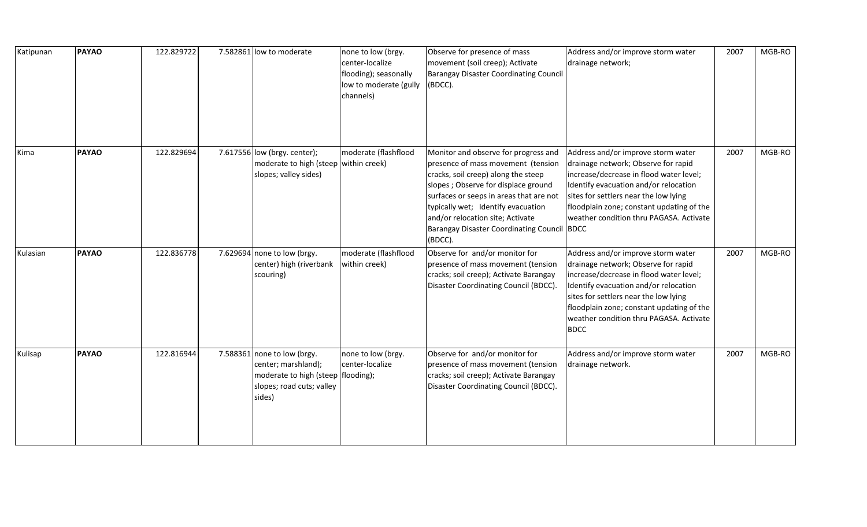| Katipunan | <b>PAYAO</b> | 122.829722 | 7.582861 low to moderate                                                                                                          | none to low (brgy.<br>center-localize<br>flooding); seasonally<br>low to moderate (gully<br>channels) | Observe for presence of mass<br>movement (soil creep); Activate<br>Barangay Disaster Coordinating Council<br>(BDCC).                                                                                                                                                                                                                    | Address and/or improve storm water<br>drainage network;                                                                                                                                                                                                                                                       | 2007 | MGB-RO |
|-----------|--------------|------------|-----------------------------------------------------------------------------------------------------------------------------------|-------------------------------------------------------------------------------------------------------|-----------------------------------------------------------------------------------------------------------------------------------------------------------------------------------------------------------------------------------------------------------------------------------------------------------------------------------------|---------------------------------------------------------------------------------------------------------------------------------------------------------------------------------------------------------------------------------------------------------------------------------------------------------------|------|--------|
| Kima      | <b>PAYAO</b> | 122.829694 | 7.617556 low (brgy. center);<br>moderate to high (steep within creek)<br>slopes; valley sides)                                    | moderate (flashflood                                                                                  | Monitor and observe for progress and<br>presence of mass movement (tension<br>cracks, soil creep) along the steep<br>slopes; Observe for displace ground<br>surfaces or seeps in areas that are not<br>typically wet; Identify evacuation<br>and/or relocation site; Activate<br>Barangay Disaster Coordinating Council BDCC<br>(BDCC). | Address and/or improve storm water<br>drainage network; Observe for rapid<br>increase/decrease in flood water level;<br>Identify evacuation and/or relocation<br>sites for settlers near the low lying<br>floodplain zone; constant updating of the<br>weather condition thru PAGASA. Activate                | 2007 | MGB-RO |
| Kulasian  | <b>PAYAO</b> | 122.836778 | 7.629694 none to low (brgy.<br>center) high (riverbank<br>scouring)                                                               | moderate (flashflood<br>within creek)                                                                 | Observe for and/or monitor for<br>presence of mass movement (tension<br>cracks; soil creep); Activate Barangay<br>Disaster Coordinating Council (BDCC).                                                                                                                                                                                 | Address and/or improve storm water<br>drainage network; Observe for rapid<br>increase/decrease in flood water level;<br>Identify evacuation and/or relocation<br>sites for settlers near the low lying<br>floodplain zone; constant updating of the<br>weather condition thru PAGASA. Activate<br><b>BDCC</b> | 2007 | MGB-RO |
| Kulisap   | <b>PAYAO</b> | 122.816944 | 7.588361 none to low (brgy.<br>center; marshland);<br>moderate to high (steep   flooding);<br>slopes; road cuts; valley<br>sides) | none to low (brgy.<br>center-localize                                                                 | Observe for and/or monitor for<br>presence of mass movement (tension<br>cracks; soil creep); Activate Barangay<br>Disaster Coordinating Council (BDCC).                                                                                                                                                                                 | Address and/or improve storm water<br>drainage network.                                                                                                                                                                                                                                                       | 2007 | MGB-RO |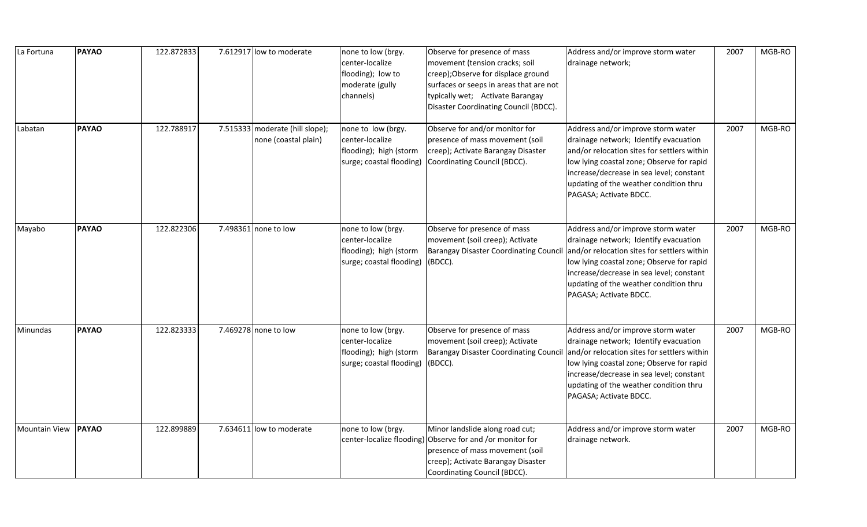| La Fortuna           | <b>PAYAO</b> | 122.872833 | 7.612917 low to moderate                                | none to low (brgy.<br>center-localize<br>flooding); low to<br>moderate (gully<br>channels)  | Observe for presence of mass<br>movement (tension cracks; soil<br>creep); Observe for displace ground<br>surfaces or seeps in areas that are not<br>typically wet; Activate Barangay<br>Disaster Coordinating Council (BDCC). | Address and/or improve storm water<br>drainage network;                                                                                                                                                                                                                                 | 2007 | MGB-RO |
|----------------------|--------------|------------|---------------------------------------------------------|---------------------------------------------------------------------------------------------|-------------------------------------------------------------------------------------------------------------------------------------------------------------------------------------------------------------------------------|-----------------------------------------------------------------------------------------------------------------------------------------------------------------------------------------------------------------------------------------------------------------------------------------|------|--------|
| Labatan              | <b>PAYAO</b> | 122.788917 | 7.515333 moderate (hill slope);<br>none (coastal plain) | none to low (brgy.<br>center-localize<br>flooding); high (storm<br>surge; coastal flooding) | Observe for and/or monitor for<br>presence of mass movement (soil<br>creep); Activate Barangay Disaster<br>Coordinating Council (BDCC).                                                                                       | Address and/or improve storm water<br>drainage network; Identify evacuation<br>and/or relocation sites for settlers within<br>low lying coastal zone; Observe for rapid<br>increase/decrease in sea level; constant<br>updating of the weather condition thru<br>PAGASA; Activate BDCC. | 2007 | MGB-RO |
| Mayabo               | <b>PAYAO</b> | 122.822306 | 7.498361 none to low                                    | none to low (brgy.<br>center-localize<br>flooding); high (storm<br>surge; coastal flooding) | Observe for presence of mass<br>movement (soil creep); Activate<br><b>Barangay Disaster Coordinating Counci</b><br>(BDCC).                                                                                                    | Address and/or improve storm water<br>drainage network; Identify evacuation<br>and/or relocation sites for settlers within<br>low lying coastal zone; Observe for rapid<br>increase/decrease in sea level; constant<br>updating of the weather condition thru<br>PAGASA; Activate BDCC. | 2007 | MGB-RO |
| Minundas             | <b>PAYAO</b> | 122.823333 | 7.469278 none to low                                    | none to low (brgy.<br>center-localize<br>flooding); high (storm<br>surge; coastal flooding) | Observe for presence of mass<br>movement (soil creep); Activate<br><b>Barangay Disaster Coordinating Counci</b><br>(BDCC).                                                                                                    | Address and/or improve storm water<br>drainage network; Identify evacuation<br>and/or relocation sites for settlers within<br>low lying coastal zone; Observe for rapid<br>increase/decrease in sea level; constant<br>updating of the weather condition thru<br>PAGASA; Activate BDCC. | 2007 | MGB-RO |
| <b>Mountain View</b> | <b>PAYAO</b> | 122.899889 | 7.634611 low to moderate                                | none to low (brgy.<br>center-localize flooding)                                             | Minor landslide along road cut;<br>Observe for and /or monitor for<br>presence of mass movement (soil<br>creep); Activate Barangay Disaster<br>Coordinating Council (BDCC).                                                   | Address and/or improve storm water<br>drainage network.                                                                                                                                                                                                                                 | 2007 | MGB-RO |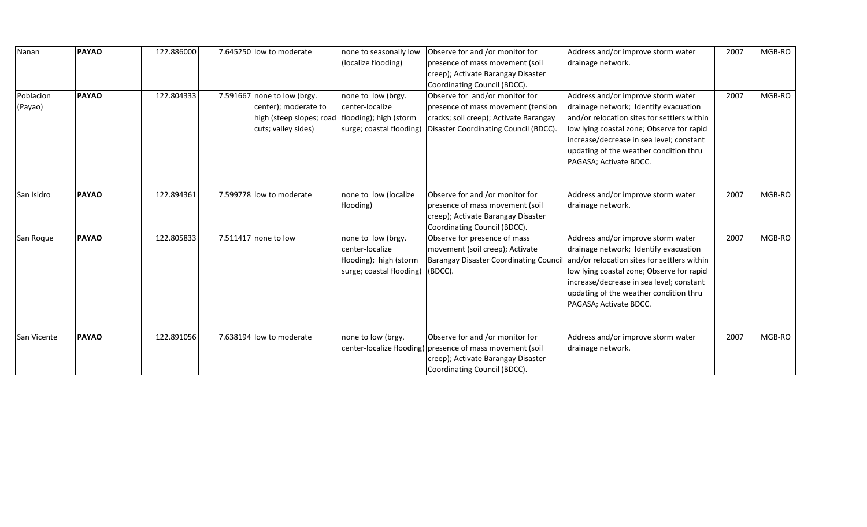| Nanan              | <b>PAYAO</b> | 122.886000 | 7.645250 low to moderate                          | none to seasonally low                | Observe for and /or monitor for                           | Address and/or improve storm water          | 2007 | MGB-RO |
|--------------------|--------------|------------|---------------------------------------------------|---------------------------------------|-----------------------------------------------------------|---------------------------------------------|------|--------|
|                    |              |            |                                                   | (localize flooding)                   | presence of mass movement (soil                           | drainage network.                           |      |        |
|                    |              |            |                                                   |                                       | creep); Activate Barangay Disaster                        |                                             |      |        |
|                    |              |            |                                                   |                                       | Coordinating Council (BDCC).                              |                                             |      |        |
| Poblacion          | <b>PAYAO</b> | 122.804333 | 7.591667 none to low (brgy.                       | none to low (brgy.<br>center-localize | Observe for and/or monitor for                            | Address and/or improve storm water          | 2007 | MGB-RO |
| (Payao)            |              |            | center); moderate to                              |                                       | presence of mass movement (tension                        | drainage network; Identify evacuation       |      |        |
|                    |              |            | high (steep slopes; road   flooding); high (storm |                                       | cracks; soil creep); Activate Barangay                    | and/or relocation sites for settlers within |      |        |
|                    |              |            | cuts; valley sides)                               | surge; coastal flooding)              | Disaster Coordinating Council (BDCC).                     | low lying coastal zone; Observe for rapid   |      |        |
|                    |              |            |                                                   |                                       |                                                           | increase/decrease in sea level; constant    |      |        |
|                    |              |            |                                                   |                                       |                                                           | updating of the weather condition thru      |      |        |
|                    |              |            |                                                   |                                       |                                                           | PAGASA; Activate BDCC.                      |      |        |
|                    |              |            |                                                   |                                       |                                                           |                                             |      |        |
| San Isidro         | <b>PAYAO</b> | 122.894361 | 7.599778 low to moderate                          | none to low (localize                 | Observe for and /or monitor for                           | Address and/or improve storm water          | 2007 | MGB-RO |
|                    |              |            |                                                   | flooding)                             | presence of mass movement (soil                           | drainage network.                           |      |        |
|                    |              |            |                                                   |                                       | creep); Activate Barangay Disaster                        |                                             |      |        |
|                    |              |            |                                                   |                                       | Coordinating Council (BDCC).                              |                                             |      |        |
| San Roque          | <b>PAYAO</b> | 122.805833 | 7.511417 none to low                              | none to low (brgy.                    | Observe for presence of mass                              | Address and/or improve storm water          | 2007 | MGB-RO |
|                    |              |            |                                                   | center-localize                       | movement (soil creep); Activate                           | drainage network; Identify evacuation       |      |        |
|                    |              |            |                                                   | flooding); high (storm                | <b>Barangay Disaster Coordinating Counci</b>              | and/or relocation sites for settlers within |      |        |
|                    |              |            |                                                   | surge; coastal flooding)              | (BDCC).                                                   | low lying coastal zone; Observe for rapid   |      |        |
|                    |              |            |                                                   |                                       |                                                           | increase/decrease in sea level; constant    |      |        |
|                    |              |            |                                                   |                                       |                                                           | updating of the weather condition thru      |      |        |
|                    |              |            |                                                   |                                       |                                                           | PAGASA; Activate BDCC.                      |      |        |
|                    |              |            |                                                   |                                       |                                                           |                                             |      |        |
| <b>San Vicente</b> | <b>PAYAO</b> | 122.891056 | 7.638194 low to moderate                          | none to low (brgy.                    | Observe for and /or monitor for                           | Address and/or improve storm water          | 2007 | MGB-RO |
|                    |              |            |                                                   |                                       | center-localize flooding) presence of mass movement (soil | drainage network.                           |      |        |
|                    |              |            |                                                   |                                       | creep); Activate Barangay Disaster                        |                                             |      |        |
|                    |              |            |                                                   |                                       | Coordinating Council (BDCC).                              |                                             |      |        |